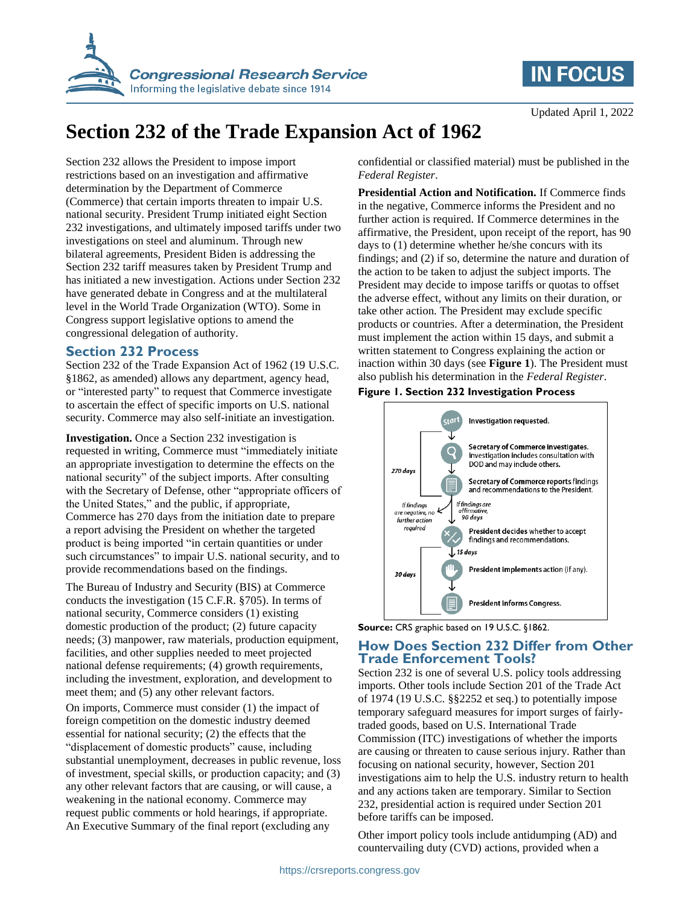

# **IN FOCUS**

# **Section 232 of the Trade Expansion Act of 1962**

Section 232 allows the President to impose import restrictions based on an investigation and affirmative determination by the Department of Commerce (Commerce) that certain imports threaten to impair U.S. national security. President Trump initiated eight Section 232 investigations, and ultimately imposed tariffs under two investigations on steel and aluminum. Through new bilateral agreements, President Biden is addressing the Section 232 tariff measures taken by President Trump and has initiated a new investigation. Actions under Section 232 have generated debate in Congress and at the multilateral level in the World Trade Organization (WTO). Some in Congress support legislative options to amend the congressional delegation of authority.

#### **Section 232 Process**

Section 232 of the Trade Expansion Act of 1962 (19 U.S.C. §1862, as amended) allows any department, agency head, or "interested party" to request that Commerce investigate to ascertain the effect of specific imports on U.S. national security. Commerce may also self-initiate an investigation.

**Investigation.** Once a Section 232 investigation is requested in writing, Commerce must "immediately initiate an appropriate investigation to determine the effects on the national security" of the subject imports. After consulting with the Secretary of Defense, other "appropriate officers of the United States," and the public, if appropriate, Commerce has 270 days from the initiation date to prepare a report advising the President on whether the targeted product is being imported "in certain quantities or under such circumstances" to impair U.S. national security, and to provide recommendations based on the findings.

The Bureau of Industry and Security (BIS) at Commerce conducts the investigation (15 C.F.R. §705). In terms of national security, Commerce considers (1) existing domestic production of the product; (2) future capacity needs; (3) manpower, raw materials, production equipment, facilities, and other supplies needed to meet projected national defense requirements; (4) growth requirements, including the investment, exploration, and development to meet them; and (5) any other relevant factors.

On imports, Commerce must consider (1) the impact of foreign competition on the domestic industry deemed essential for national security; (2) the effects that the "displacement of domestic products" cause, including substantial unemployment, decreases in public revenue, loss of investment, special skills, or production capacity; and (3) any other relevant factors that are causing, or will cause, a weakening in the national economy. Commerce may request public comments or hold hearings, if appropriate. An Executive Summary of the final report (excluding any

confidential or classified material) must be published in the *Federal Register*.

**Presidential Action and Notification.** If Commerce finds in the negative, Commerce informs the President and no further action is required. If Commerce determines in the affirmative, the President, upon receipt of the report, has 90 days to (1) determine whether he/she concurs with its findings; and (2) if so, determine the nature and duration of the action to be taken to adjust the subject imports. The President may decide to impose tariffs or quotas to offset the adverse effect, without any limits on their duration, or take other action. The President may exclude specific products or countries. After a determination, the President must implement the action within 15 days, and submit a written statement to Congress explaining the action or inaction within 30 days (see **[Figure 1](#page-0-0)**). The President must also publish his determination in the *Federal Register*.

#### <span id="page-0-0"></span>**Figure 1. Section 232 Investigation Process**



**Source:** CRS graphic based on 19 U.S.C. §1862.

#### **How Does Section 232 Differ from Other Trade Enforcement Tools?**

Section 232 is one of several U.S. policy tools addressing imports. Other tools include Section 201 of the Trade Act of 1974 (19 U.S.C. §§2252 et seq.) to potentially impose temporary safeguard measures for import surges of fairlytraded goods, based on U.S. International Trade Commission (ITC) investigations of whether the imports are causing or threaten to cause serious injury. Rather than focusing on national security, however, Section 201 investigations aim to help the U.S. industry return to health and any actions taken are temporary. Similar to Section 232, presidential action is required under Section 201 before tariffs can be imposed.

Other import policy tools include antidumping (AD) and countervailing duty (CVD) actions, provided when a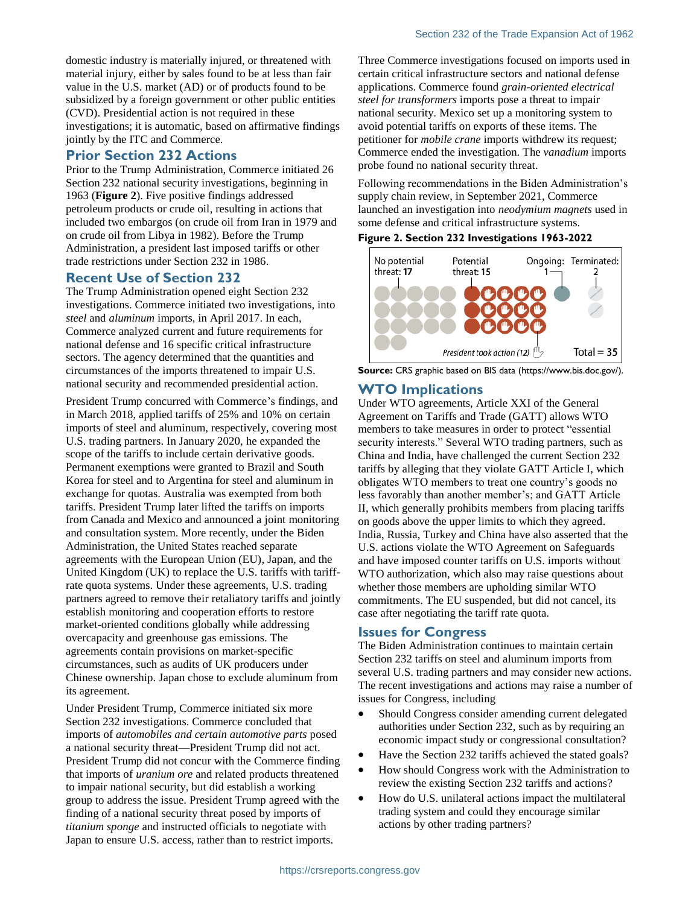domestic industry is materially injured, or threatened with material injury, either by sales found to be at less than fair value in the U.S. market (AD) or of products found to be subsidized by a foreign government or other public entities (CVD). Presidential action is not required in these investigations; it is automatic, based on affirmative findings jointly by the ITC and Commerce.

### **Prior Section 232 Actions**

Prior to the Trump Administration, Commerce initiated 26 Section 232 national security investigations, beginning in 1963 (**[Figure 2](#page-1-0)**). Five positive findings addressed petroleum products or crude oil, resulting in actions that included two embargos (on crude oil from Iran in 1979 and on crude oil from Libya in 1982). Before the Trump Administration, a president last imposed tariffs or other trade restrictions under Section 232 in 1986.

#### **Recent Use of Section 232**

The Trump Administration opened eight Section 232 investigations. Commerce initiated two investigations, into *steel* and *aluminum* imports, in April 2017. In each, Commerce analyzed current and future requirements for national defense and 16 specific critical infrastructure sectors. The agency determined that the quantities and circumstances of the imports threatened to impair U.S. national security and recommended presidential action.

President Trump concurred with Commerce's findings, and in March 2018, applied tariffs of 25% and 10% on certain imports of steel and aluminum, respectively, covering most U.S. trading partners. In January 2020, he expanded the scope of the tariffs to include certain derivative goods. Permanent exemptions were granted to Brazil and South Korea for steel and to Argentina for steel and aluminum in exchange for quotas. Australia was exempted from both tariffs. President Trump later lifted the tariffs on imports from Canada and Mexico and announced a joint monitoring and consultation system. More recently, under the Biden Administration, the United States reached separate agreements with the European Union (EU), Japan, and the United Kingdom (UK) to replace the U.S. tariffs with tariffrate quota systems. Under these agreements, U.S. trading partners agreed to remove their retaliatory tariffs and jointly establish monitoring and cooperation efforts to restore market-oriented conditions globally while addressing overcapacity and greenhouse gas emissions. The agreements contain provisions on market-specific circumstances, such as audits of UK producers under Chinese ownership. Japan chose to exclude aluminum from its agreement.

Under President Trump, Commerce initiated six more Section 232 investigations. Commerce concluded that imports of *automobiles and certain automotive parts* posed a national security threat—President Trump did not act. President Trump did not concur with the Commerce finding that imports of *uranium ore* and related products threatened to impair national security, but did establish a working group to address the issue. President Trump agreed with the finding of a national security threat posed by imports of *titanium sponge* and instructed officials to negotiate with Japan to ensure U.S. access, rather than to restrict imports.

Three Commerce investigations focused on imports used in certain critical infrastructure sectors and national defense applications. Commerce found *grain-oriented electrical steel for transformers* imports pose a threat to impair national security*.* Mexico set up a monitoring system to avoid potential tariffs on exports of these items. The petitioner for *mobile crane* imports withdrew its request; Commerce ended the investigation. The *vanadium* imports probe found no national security threat.

Following recommendations in the Biden Administration's supply chain review, in September 2021, Commerce launched an investigation into *neodymium magnets* used in some defense and critical infrastructure systems.

#### <span id="page-1-0"></span>**Figure 2. Section 232 Investigations 1963-2022**





### **WTO Implications**

Under WTO agreements, Article XXI of the General Agreement on Tariffs and Trade (GATT) allows WTO members to take measures in order to protect "essential security interests." Several WTO trading partners, such as China and India, have challenged the current Section 232 tariffs by alleging that they violate GATT Article I, which obligates WTO members to treat one country's goods no less favorably than another member's; and GATT Article II, which generally prohibits members from placing tariffs on goods above the upper limits to which they agreed. India, Russia, Turkey and China have also asserted that the U.S. actions violate the WTO Agreement on Safeguards and have imposed counter tariffs on U.S. imports without WTO authorization, which also may raise questions about whether those members are upholding similar WTO commitments. The EU suspended, but did not cancel, its case after negotiating the tariff rate quota.

#### **Issues for Congress**

The Biden Administration continues to maintain certain Section 232 tariffs on steel and aluminum imports from several U.S. trading partners and may consider new actions. The recent investigations and actions may raise a number of issues for Congress, including

- Should Congress consider amending current delegated authorities under Section 232, such as by requiring an economic impact study or congressional consultation?
- Have the Section 232 tariffs achieved the stated goals?
- How should Congress work with the Administration to review the existing Section 232 tariffs and actions?
- How do U.S. unilateral actions impact the multilateral trading system and could they encourage similar actions by other trading partners?